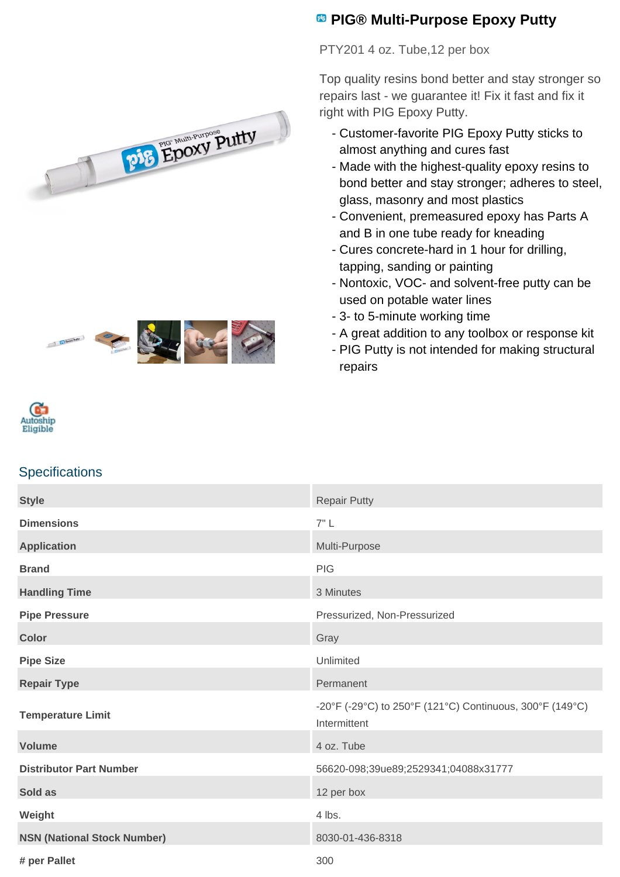



## **<sup><b>B</sup>** PIG® Multi-Purpose Epoxy Putty</sup>

PTY201 4 oz. Tube,12 per box

Top quality resins bond better and stay stronger so repairs last - we guarantee it! Fix it fast and fix it right with PIG Epoxy Putty.

- Customer-favorite PIG Epoxy Putty sticks to almost anything and cures fast
- Made with the highest-quality epoxy resins to bond better and stay stronger; adheres to steel, glass, masonry and most plastics
- Convenient, premeasured epoxy has Parts A and B in one tube ready for kneading
- Cures concrete-hard in 1 hour for drilling, tapping, sanding or painting
- Nontoxic, VOC- and solvent-free putty can be used on potable water lines
- 3- to 5-minute working time
- A great addition to any toolbox or response kit
- PIG Putty is not intended for making structural repairs



## **Specifications**

| <b>Style</b>                       | <b>Repair Putty</b>                                                      |
|------------------------------------|--------------------------------------------------------------------------|
| <b>Dimensions</b>                  | 7"L                                                                      |
| <b>Application</b>                 | Multi-Purpose                                                            |
| <b>Brand</b>                       | <b>PIG</b>                                                               |
| <b>Handling Time</b>               | 3 Minutes                                                                |
| <b>Pipe Pressure</b>               | Pressurized, Non-Pressurized                                             |
| <b>Color</b>                       | Gray                                                                     |
| <b>Pipe Size</b>                   | Unlimited                                                                |
| <b>Repair Type</b>                 | Permanent                                                                |
| <b>Temperature Limit</b>           | -20°F (-29°C) to 250°F (121°C) Continuous, 300°F (149°C)<br>Intermittent |
| <b>Volume</b>                      | 4 oz. Tube                                                               |
| <b>Distributor Part Number</b>     | 56620-098;39ue89;2529341;04088x31777                                     |
| Sold as                            | 12 per box                                                               |
| Weight                             | 4 lbs.                                                                   |
| <b>NSN (National Stock Number)</b> | 8030-01-436-8318                                                         |
| # per Pallet                       | 300                                                                      |